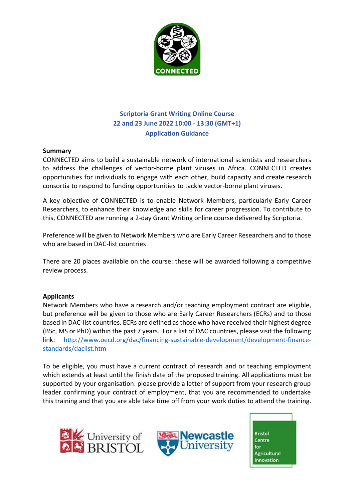

# **Scriptoria Grant Writing Online Course 22 and 23 June 2022 10:00 - 13:30 (GMT+1) Application Guidance**

### **Summary**

CONNECTED aims to build a sustainable network of international scientists and researchers to address the challenges of vector-borne plant viruses in Africa. CONNECTED creates opportunities for individuals to engage with each other, build capacity and create research consortia to respond to funding opportunities to tackle vector-borne plant viruses.

A key objective of CONNECTED is to enable Network Members, particularly Early Career Researchers, to enhance their knowledge and skills for career progression. To contribute to this, CONNECTED are running a 2-day Grant Writing online course delivered by Scriptoria.

Preference will be given to Network Members who are Early Career Researchers and to those who are based in DAC-list countries

There are 20 places available on the course: these will be awarded following a competitive review process.

## **Applicants**

Network Members who have a research and/or teaching employment contract are eligible, but preference will be given to those who are Early Career Researchers (ECRs) and to those based in DAC-list countries. ECRs are defined as those who have received their highest degree (BSc, MS or PhD) within the past 7 years. For a list of DAC countries, please visit the following link: [http://www.oecd.org/dac/financing-sustainable-development/development-finance](http://www.oecd.org/dac/financing-sustainable-development/development-finance-standards/daclist.htm)[standards/daclist.htm](http://www.oecd.org/dac/financing-sustainable-development/development-finance-standards/daclist.htm)

To be eligible, you must have a current contract of research and or teaching employment which extends at least until the finish date of the proposed training. All applications must be supported by your organisation: please provide a letter of support from your research group leader confirming your contract of employment, that you are recommended to undertake this training and that you are able take time off from your work duties to attend the training.





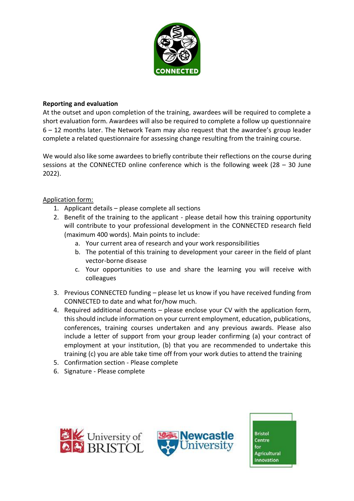

### **Reporting and evaluation**

At the outset and upon completion of the training, awardees will be required to complete a short evaluation form. Awardees will also be required to complete a follow up questionnaire 6 – 12 months later. The Network Team may also request that the awardee's group leader complete a related questionnaire for assessing change resulting from the training course.

We would also like some awardees to briefly contribute their reflections on the course during sessions at the CONNECTED online conference which is the following week ( $28 - 30$  June 2022).

### Application form:

- 1. Applicant details please complete all sections
- 2. Benefit of the training to the applicant please detail how this training opportunity will contribute to your professional development in the CONNECTED research field (maximum 400 words). Main points to include:
	- a. Your current area of research and your work responsibilities
	- b. The potential of this training to development your career in the field of plant vector-borne disease
	- c. Your opportunities to use and share the learning you will receive with colleagues
- 3. Previous CONNECTED funding please let us know if you have received funding from CONNECTED to date and what for/how much.
- 4. Required additional documents please enclose your CV with the application form, this should include information on your current employment, education, publications, conferences, training courses undertaken and any previous awards. Please also include a letter of support from your group leader confirming (a) your contract of employment at your institution, (b) that you are recommended to undertake this training (c) you are able take time off from your work duties to attend the training
- 5. Confirmation section Please complete
- 6. Signature Please complete